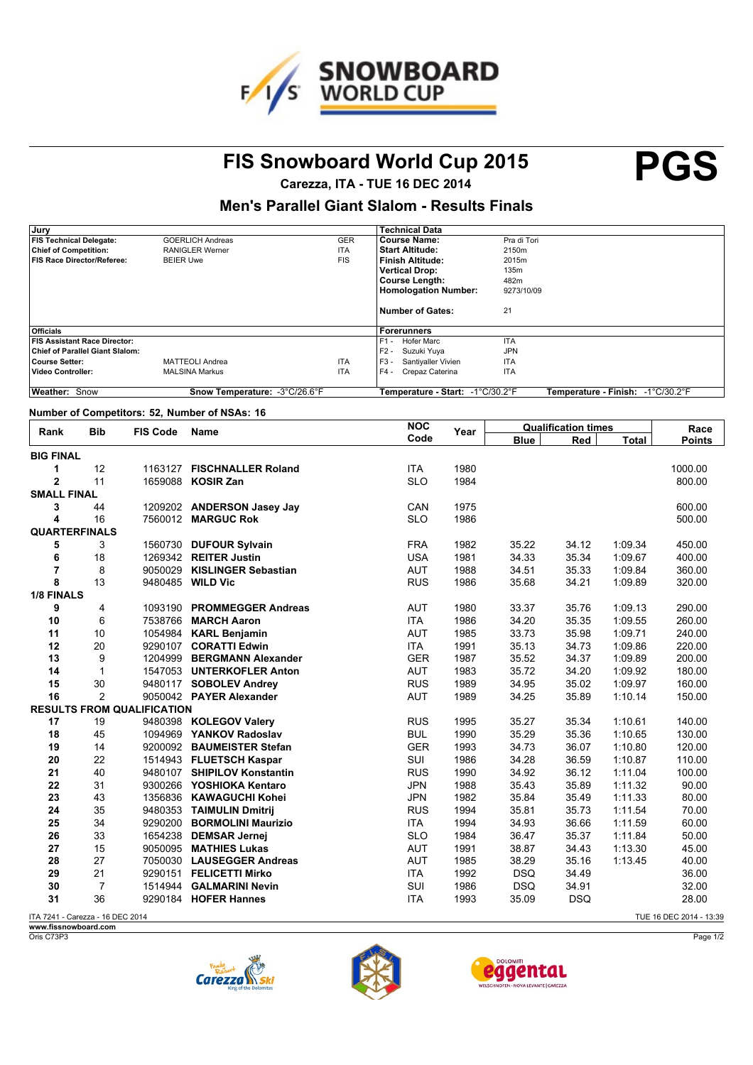

## **FIS Snowboard World Cup 2015 PGS**

**Carezza, ITA - TUE 16 DEC 2014**

#### **Men's Parallel Giant Slalom - Results Finals**

| Jury                                   |                               |            | <b>Technical Data</b>              |                                   |
|----------------------------------------|-------------------------------|------------|------------------------------------|-----------------------------------|
| <b>FIS Technical Delegate:</b>         | <b>GOERLICH Andreas</b>       | <b>GER</b> | Course Name:                       | Pra di Tori                       |
| <b>Chief of Competition:</b>           | <b>RANIGLER Werner</b>        | <b>ITA</b> | <b>Start Altitude:</b>             | 2150m                             |
| <b>FIS Race Director/Referee:</b>      | <b>BEIER Uwe</b>              | <b>FIS</b> | Finish Altitude:                   | 2015m                             |
|                                        |                               |            | <b>Vertical Drop:</b>              | 135m                              |
|                                        |                               |            | <b>Course Length:</b>              | 482m                              |
|                                        |                               |            | <b>Homologation Number:</b>        | 9273/10/09                        |
|                                        |                               |            |                                    |                                   |
|                                        |                               |            | Number of Gates:                   | 21                                |
|                                        |                               |            |                                    |                                   |
| <b>Officials</b>                       |                               |            | Forerunners                        |                                   |
| <b>FIS Assistant Race Director:</b>    |                               |            | F1 -<br><b>Hofer Marc</b>          | <b>ITA</b>                        |
| <b>Chief of Parallel Giant Slalom:</b> |                               |            | $F2 -$<br>Suzuki Yuva              | <b>JPN</b>                        |
| <b>Course Setter:</b>                  | <b>MATTEOLI Andrea</b>        | <b>ITA</b> | $F3 -$<br>Santiyaller Vivien       | <b>ITA</b>                        |
| <b>Video Controller:</b>               | <b>MALSINA Markus</b>         | <b>ITA</b> | $F4 -$<br>Crepaz Caterina          | <b>ITA</b>                        |
|                                        |                               |            |                                    |                                   |
| Weather: Snow                          | Snow Temperature: -3°C/26.6°F |            | Temperature - Start:   -1°C/30.2°F | Temperature - Finish: -1°C/30.2°F |

#### **Number of Competitors: 52, Number of NSAs: 16**

| <b>Bib</b><br>Rank               | <b>FIS Code</b> | <b>Name</b>                       | <b>NOC</b>                  | Year       | <b>Qualification times</b> |            |              | Race          |                         |
|----------------------------------|-----------------|-----------------------------------|-----------------------------|------------|----------------------------|------------|--------------|---------------|-------------------------|
|                                  |                 |                                   | Code                        |            | <b>Blue</b>                | Red        | <b>Total</b> | <b>Points</b> |                         |
| <b>BIG FINAL</b>                 |                 |                                   |                             |            |                            |            |              |               |                         |
| 1                                | 12              |                                   | 1163127 FISCHNALLER Roland  | <b>ITA</b> | 1980                       |            |              |               | 1000.00                 |
| $\overline{a}$                   | 11              |                                   | 1659088 KOSIR Zan           | <b>SLO</b> | 1984                       |            |              |               | 800.00                  |
| <b>SMALL FINAL</b>               |                 |                                   |                             |            |                            |            |              |               |                         |
| 3                                | 44              |                                   | 1209202 ANDERSON Jasey Jay  | CAN        | 1975                       |            |              |               | 600.00                  |
| 4                                | 16              |                                   | 7560012 MARGUC Rok          | <b>SLO</b> | 1986                       |            |              |               | 500.00                  |
| <b>QUARTERFINALS</b>             |                 |                                   |                             |            |                            |            |              |               |                         |
| 5                                | 3               |                                   | 1560730 DUFOUR Sylvain      | <b>FRA</b> | 1982                       | 35.22      | 34.12        | 1:09.34       | 450.00                  |
| 6                                | 18              |                                   | 1269342 REITER Justin       | <b>USA</b> | 1981                       | 34.33      | 35.34        | 1:09.67       | 400.00                  |
| $\overline{7}$                   | 8               |                                   | 9050029 KISLINGER Sebastian | <b>AUT</b> | 1988                       | 34.51      | 35.33        | 1:09.84       | 360.00                  |
| 8                                | 13              |                                   | 9480485 WILD Vic            | <b>RUS</b> | 1986                       | 35.68      | 34.21        | 1:09.89       | 320.00                  |
| 1/8 FINALS                       |                 |                                   |                             |            |                            |            |              |               |                         |
| 9                                | 4               |                                   | 1093190 PROMMEGGER Andreas  | <b>AUT</b> | 1980                       | 33.37      | 35.76        | 1:09.13       | 290.00                  |
| 10                               | 6               |                                   | 7538766 MARCH Aaron         | <b>ITA</b> | 1986                       | 34.20      | 35.35        | 1:09.55       | 260.00                  |
| 11                               | 10              |                                   | 1054984 KARL Benjamin       | <b>AUT</b> | 1985                       | 33.73      | 35.98        | 1:09.71       | 240.00                  |
| 12                               | 20              |                                   | 9290107 CORATTI Edwin       | <b>ITA</b> | 1991                       | 35.13      | 34.73        | 1:09.86       | 220.00                  |
| 13                               | 9               |                                   | 1204999 BERGMANN Alexander  | <b>GER</b> | 1987                       | 35.52      | 34.37        | 1:09.89       | 200.00                  |
| 14                               | $\mathbf{1}$    |                                   | 1547053 UNTERKOFLER Anton   | <b>AUT</b> | 1983                       | 35.72      | 34.20        | 1:09.92       | 180.00                  |
| 15                               | 30              |                                   | 9480117 SOBOLEV Andrey      | <b>RUS</b> | 1989                       | 34.95      | 35.02        | 1:09.97       | 160.00                  |
| 16                               | $\overline{2}$  |                                   | 9050042 PAYER Alexander     | <b>AUT</b> | 1989                       | 34.25      | 35.89        | 1:10.14       | 150.00                  |
|                                  |                 | <b>RESULTS FROM QUALIFICATION</b> |                             |            |                            |            |              |               |                         |
| 17                               | 19              |                                   | 9480398 KOLEGOV Valery      | <b>RUS</b> | 1995                       | 35.27      | 35.34        | 1:10.61       | 140.00                  |
| 18                               | 45              |                                   | 1094969 YANKOV Radoslav     | <b>BUL</b> | 1990                       | 35.29      | 35.36        | 1:10.65       | 130.00                  |
| 19                               | 14              |                                   | 9200092 BAUMEISTER Stefan   | <b>GER</b> | 1993                       | 34.73      | 36.07        | 1:10.80       | 120.00                  |
| 20                               | 22              |                                   | 1514943 FLUETSCH Kaspar     | SUI        | 1986                       | 34.28      | 36.59        | 1:10.87       | 110.00                  |
| 21                               | 40              |                                   | 9480107 SHIPILOV Konstantin | <b>RUS</b> | 1990                       | 34.92      | 36.12        | 1:11.04       | 100.00                  |
| 22                               | 31              |                                   | 9300266 YOSHIOKA Kentaro    | <b>JPN</b> | 1988                       | 35.43      | 35.89        | 1:11.32       | 90.00                   |
| 23                               | 43              |                                   | 1356836 KAWAGUCHI Kohei     | <b>JPN</b> | 1982                       | 35.84      | 35.49        | 1:11.33       | 80.00                   |
| 24                               | 35              |                                   | 9480353 TAIMULIN Dmitrij    | <b>RUS</b> | 1994                       | 35.81      | 35.73        | 1:11.54       | 70.00                   |
| 25                               | 34              |                                   | 9290200 BORMOLINI Maurizio  | <b>ITA</b> | 1994                       | 34.93      | 36.66        | 1:11.59       | 60.00                   |
| 26                               | 33              |                                   | 1654238 DEMSAR Jernej       | <b>SLO</b> | 1984                       | 36.47      | 35.37        | 1:11.84       | 50.00                   |
| 27                               | 15              |                                   | 9050095 MATHIES Lukas       | <b>AUT</b> | 1991                       | 38.87      | 34.43        | 1:13.30       | 45.00                   |
| 28                               | 27              |                                   | 7050030 LAUSEGGER Andreas   | <b>AUT</b> | 1985                       | 38.29      | 35.16        | 1:13.45       | 40.00                   |
| 29                               | 21              |                                   | 9290151 FELICETTI Mirko     | <b>ITA</b> | 1992                       | <b>DSQ</b> | 34.49        |               | 36.00                   |
| 30                               | $\overline{7}$  | 1514944                           | <b>GALMARINI Nevin</b>      | SUI        | 1986                       | <b>DSQ</b> | 34.91        |               | 32.00                   |
| 31                               | 36              |                                   | 9290184 HOFER Hannes        | <b>ITA</b> | 1993                       | 35.09      | <b>DSQ</b>   |               | 28.00                   |
| ITA 7241 - Carezza - 16 DEC 2014 |                 |                                   |                             |            |                            |            |              |               | TUE 16 DEC 2014 - 13:39 |

ITA 7241 - Carezza - 16 DEC 2014 **www.fissnowboard.com**

Oris C73P3







Page 1/2